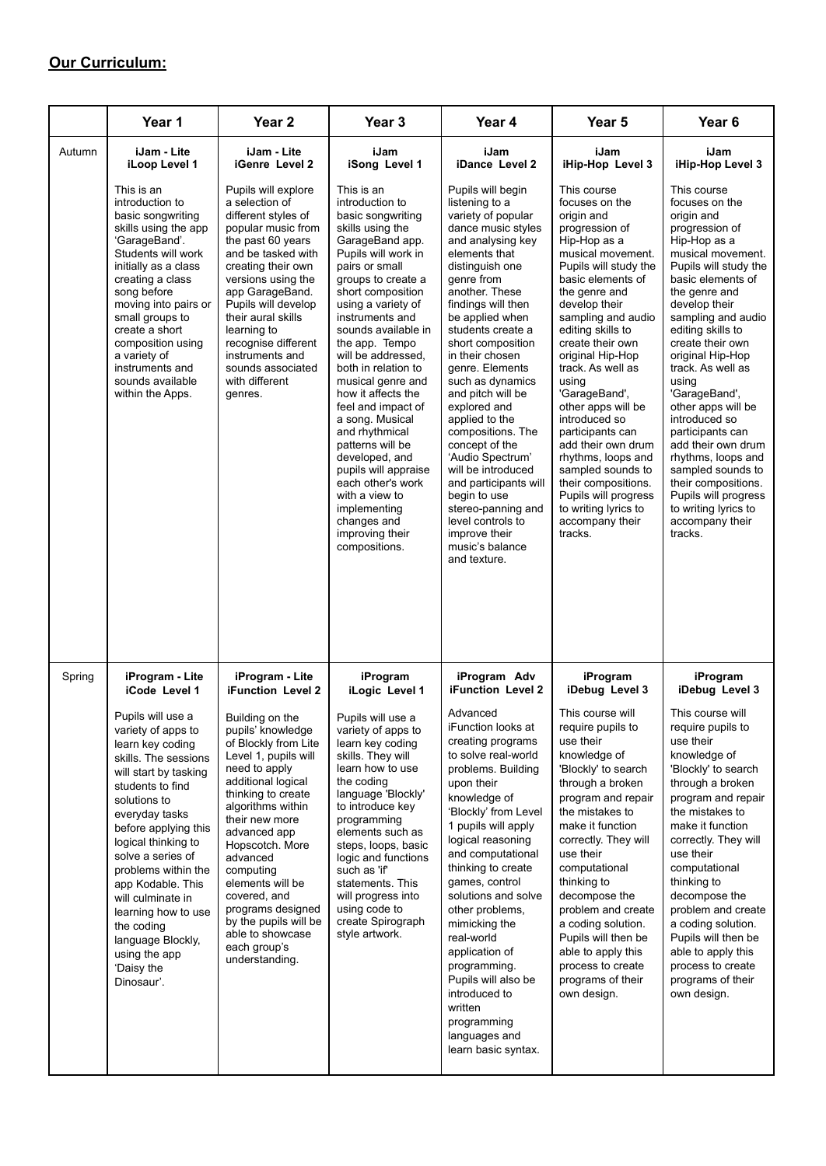## **Our Curriculum:**

|        | Year 1                                                                                                                                                                                                                                                                                                                                                                                                                                             | Year <sub>2</sub>                                                                                                                                                                                                                                                                                                                                                                                                                           | Year <sub>3</sub>                                                                                                                                                                                                                                                                                                                                                                                                                                                                                                                                                                          | Year 4                                                                                                                                                                                                                                                                                                                                                                                                                                                                                                                                                                                                | Year 5                                                                                                                                                                                                                                                                                                                                                                                                                                                                                                                                                | Year <sub>6</sub>                                                                                                                                                                                                                                                                                                                                                                                                                                                                                                                                     |
|--------|----------------------------------------------------------------------------------------------------------------------------------------------------------------------------------------------------------------------------------------------------------------------------------------------------------------------------------------------------------------------------------------------------------------------------------------------------|---------------------------------------------------------------------------------------------------------------------------------------------------------------------------------------------------------------------------------------------------------------------------------------------------------------------------------------------------------------------------------------------------------------------------------------------|--------------------------------------------------------------------------------------------------------------------------------------------------------------------------------------------------------------------------------------------------------------------------------------------------------------------------------------------------------------------------------------------------------------------------------------------------------------------------------------------------------------------------------------------------------------------------------------------|-------------------------------------------------------------------------------------------------------------------------------------------------------------------------------------------------------------------------------------------------------------------------------------------------------------------------------------------------------------------------------------------------------------------------------------------------------------------------------------------------------------------------------------------------------------------------------------------------------|-------------------------------------------------------------------------------------------------------------------------------------------------------------------------------------------------------------------------------------------------------------------------------------------------------------------------------------------------------------------------------------------------------------------------------------------------------------------------------------------------------------------------------------------------------|-------------------------------------------------------------------------------------------------------------------------------------------------------------------------------------------------------------------------------------------------------------------------------------------------------------------------------------------------------------------------------------------------------------------------------------------------------------------------------------------------------------------------------------------------------|
| Autumn | iJam - Lite<br>iLoop Level 1                                                                                                                                                                                                                                                                                                                                                                                                                       | iJam - Lite<br><b>iGenre</b> Level 2                                                                                                                                                                                                                                                                                                                                                                                                        | iJam<br>iSong Level 1                                                                                                                                                                                                                                                                                                                                                                                                                                                                                                                                                                      | iJam<br>iDance Level 2                                                                                                                                                                                                                                                                                                                                                                                                                                                                                                                                                                                | iJam<br>iHip-Hop Level 3                                                                                                                                                                                                                                                                                                                                                                                                                                                                                                                              | iJam<br>iHip-Hop Level 3                                                                                                                                                                                                                                                                                                                                                                                                                                                                                                                              |
|        | This is an<br>introduction to<br>basic songwriting<br>skills using the app<br>'GarageBand'.<br>Students will work<br>initially as a class<br>creating a class<br>song before<br>moving into pairs or<br>small groups to<br>create a short<br>composition using<br>a variety of<br>instruments and<br>sounds available<br>within the Apps.                                                                                                          | Pupils will explore<br>a selection of<br>different styles of<br>popular music from<br>the past 60 years<br>and be tasked with<br>creating their own<br>versions using the<br>app GarageBand.<br>Pupils will develop<br>their aural skills<br>learning to<br>recognise different<br>instruments and<br>sounds associated<br>with different<br>genres.                                                                                        | This is an<br>introduction to<br>basic songwriting<br>skills using the<br>GarageBand app.<br>Pupils will work in<br>pairs or small<br>groups to create a<br>short composition<br>using a variety of<br>instruments and<br>sounds available in<br>the app. Tempo<br>will be addressed,<br>both in relation to<br>musical genre and<br>how it affects the<br>feel and impact of<br>a song. Musical<br>and rhythmical<br>patterns will be<br>developed, and<br>pupils will appraise<br>each other's work<br>with a view to<br>implementing<br>changes and<br>improving their<br>compositions. | Pupils will begin<br>listening to a<br>variety of popular<br>dance music styles<br>and analysing key<br>elements that<br>distinguish one<br>genre from<br>another. These<br>findings will then<br>be applied when<br>students create a<br>short composition<br>in their chosen<br>genre. Elements<br>such as dynamics<br>and pitch will be<br>explored and<br>applied to the<br>compositions. The<br>concept of the<br>'Audio Spectrum'<br>will be introduced<br>and participants will<br>begin to use<br>stereo-panning and<br>level controls to<br>improve their<br>music's balance<br>and texture. | This course<br>focuses on the<br>origin and<br>progression of<br>Hip-Hop as a<br>musical movement.<br>Pupils will study the<br>basic elements of<br>the genre and<br>develop their<br>sampling and audio<br>editing skills to<br>create their own<br>original Hip-Hop<br>track. As well as<br>using<br>'GarageBand',<br>other apps will be<br>introduced so<br>participants can<br>add their own drum<br>rhythms, loops and<br>sampled sounds to<br>their compositions.<br>Pupils will progress<br>to writing lyrics to<br>accompany their<br>tracks. | This course<br>focuses on the<br>origin and<br>progression of<br>Hip-Hop as a<br>musical movement.<br>Pupils will study the<br>basic elements of<br>the genre and<br>develop their<br>sampling and audio<br>editing skills to<br>create their own<br>original Hip-Hop<br>track. As well as<br>using<br>'GarageBand',<br>other apps will be<br>introduced so<br>participants can<br>add their own drum<br>rhythms, loops and<br>sampled sounds to<br>their compositions.<br>Pupils will progress<br>to writing lyrics to<br>accompany their<br>tracks. |
| Spring | iProgram - Lite<br>iCode Level 1<br>Pupils will use a<br>variety of apps to<br>learn key coding<br>skills. The sessions<br>will start by tasking<br>students to find<br>solutions to<br>everyday tasks<br>before applying this<br>logical thinking to<br>solve a series of<br>problems within the<br>app Kodable. This<br>will culminate in<br>learning how to use<br>the coding<br>language Blockly,<br>using the app<br>'Daisy the<br>Dinosaur'. | iProgram - Lite<br><b>iFunction Level 2</b><br>Building on the<br>pupils' knowledge<br>of Blockly from Lite<br>Level 1, pupils will<br>need to apply<br>additional logical<br>thinking to create<br>algorithms within<br>their new more<br>advanced app<br>Hopscotch. More<br>advanced<br>computing<br>elements will be<br>covered, and<br>programs designed<br>by the pupils will be<br>able to showcase<br>each group's<br>understanding. | iProgram<br>iLogic Level 1<br>Pupils will use a<br>variety of apps to<br>learn key coding<br>skills. They will<br>learn how to use<br>the coding<br>language 'Blockly'<br>to introduce key<br>programming<br>elements such as<br>steps, loops, basic<br>logic and functions<br>such as 'if'<br>statements. This<br>will progress into<br>using code to<br>create Spirograph<br>style artwork.                                                                                                                                                                                              | iProgram Adv<br>iFunction Level 2<br>Advanced<br>iFunction looks at<br>creating programs<br>to solve real-world<br>problems. Building<br>upon their<br>knowledge of<br>'Blockly' from Level<br>1 pupils will apply<br>logical reasoning<br>and computational<br>thinking to create<br>games, control<br>solutions and solve<br>other problems,<br>mimicking the<br>real-world<br>application of<br>programming.<br>Pupils will also be<br>introduced to<br>written<br>programming<br>languages and<br>learn basic syntax.                                                                             | iProgram<br>iDebug Level 3<br>This course will<br>require pupils to<br>use their<br>knowledge of<br>'Blockly' to search<br>through a broken<br>program and repair<br>the mistakes to<br>make it function<br>correctly. They will<br>use their<br>computational<br>thinking to<br>decompose the<br>problem and create<br>a coding solution.<br>Pupils will then be<br>able to apply this<br>process to create<br>programs of their<br>own design.                                                                                                      | iProgram<br>iDebug Level 3<br>This course will<br>require pupils to<br>use their<br>knowledge of<br>'Blockly' to search<br>through a broken<br>program and repair<br>the mistakes to<br>make it function<br>correctly. They will<br>use their<br>computational<br>thinking to<br>decompose the<br>problem and create<br>a coding solution.<br>Pupils will then be<br>able to apply this<br>process to create<br>programs of their<br>own design.                                                                                                      |